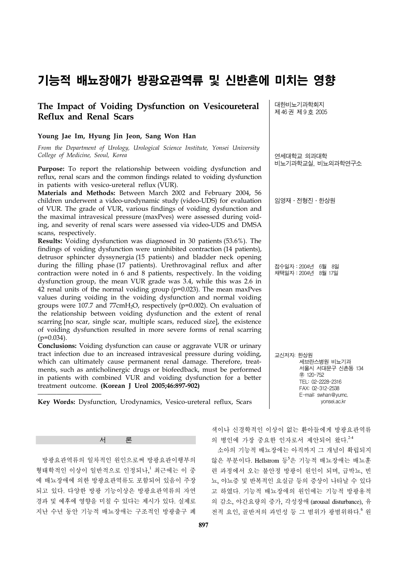# 기능적 배뇨장애가 방광요관역류 및 신반흔에 미치는 영향

## **The Impact of Voiding Dysfunction on Vesicoureteral Reflux and Renal Scars**

### **Young Jae Im, Hyung Jin Jeon, Sang Won Han**

*From the Department of Urology, Urological Science Institute, Yonsei University College of Medicine, Seoul, Korea*

Purpose: To report the relationship between voiding dysfunction and reflux, renal scars and the common findings related to voiding dysfunction in patients with vesico-ureteral reflux (VUR).

**Materials and Methods:** Between March 2002 and February 2004, 56 children underwent a video-urodynamic study (video-UDS) for evaluation of VUR. The grade of VUR, various findings of voiding dysfunction and the maximal intravesical pressure (maxPves) were assessed during voiding, and severity of renal scars were assessed via video-UDS and DMSA scans, respectively.

**Results:** Voiding dysfunction was diagnosed in 30 patients (53.6%). The findings of voiding dysfunction were uninhibited contraction (14 patients), detrusor sphincter dyssynergia (15 patients) and bladder neck opening during the filling phase (17 patients). Urethrovaginal reflux and after contraction were noted in 6 and 8 patients, respectively. In the voiding dysfunction group, the mean VUR grade was 3.4, while this was 2.6 in 42 renal units of the normal voiding group (p=0.023). The mean maxPves values during voiding in the voiding dysfunction and normal voiding groups were 107.7 and 77cmH2O, respectively (p=0.002). On evaluation of the relationship between voiding dysfunction and the extent of renal scarring [no scar, single scar, multiple scars, reduced size], the existence of voiding dysfunction resulted in more severe forms of renal scarring  $(p=0.034)$ .

**Conclusions:** Voiding dysfunction can cause or aggravate VUR or urinary tract infection due to an increased intravesical pressure during voiding, which can ultimately cause permanent renal damage. Therefore, treatments, such as anticholinergic drugs or biofeedback, must be performed in patients with combined VUR and voiding dysfunction for a better treatment outcome. **(Korean J Urol 2005;46:897-902)**

**Key Words:** Dysfunction, Urodynamics, Vesico-ureteral reflux, Scars

서 론

 방광요관역류의 일차적인 원인으로써 방광요관이행부의 형태학적인 이상이 일반적으로 인정되나, <sup>1</sup> 최근에는 이 중 에 배뇨장애에 의한 방광요관역류도 포함되어 있음이 주장 되고 있다. 다양한 방광 기능이상은 방광요관역류의 자연 경과 및 예후에 영향을 미칠 수 있다는 제시가 있다. 실제로 지난 수년 동안 기능적 배뇨장애는 구조적인 방광출구 폐

대한비뇨기과학회지 제 46 권 제 9 호 2005

연세대학교 의과대학 비뇨기과학교실, 비뇨의과학연구소

임영재․전형진․한상원

접수일자:2004년 6월 8일 채택일자:2004년 8월 17일

교신저자: 한상원 세브란스병원 비뇨기과 서울시 서대문구 신촌동 134 ꂕ 120-752 TEL: 02-2228-2316 FAX: 02-312-2538 E-mail: swhan@yumc. yonsei.ac.kr

색이나 신경학적인 이상이 없는 환아들에게 방광요관역류 의 병인에 가장 중요한 인자로서 제안되어 왔다. 2-4

 소아의 기능적 배뇨장애는 아직까지 그 개념이 확립되지 않은 부분이다. Hellstrom 등<sup>5</sup>은 기능적 배뇨장애는 배뇨훈 련 과정에서 오는 불안정 방광이 원인이 되며, 급박뇨, 빈 뇨, 야뇨증 및 반복적인 요실금 등의 증상이 나타날 수 있다 고 하였다. 기능적 배뇨장애의 원인에는 기능적 방광용적 의 감소, 야간요량의 증가, 각성장애 (arousal disturbance), 유 전적 요인, 골반저의 과민성 등 그 범위가 광범위하다. <sup>6</sup> 원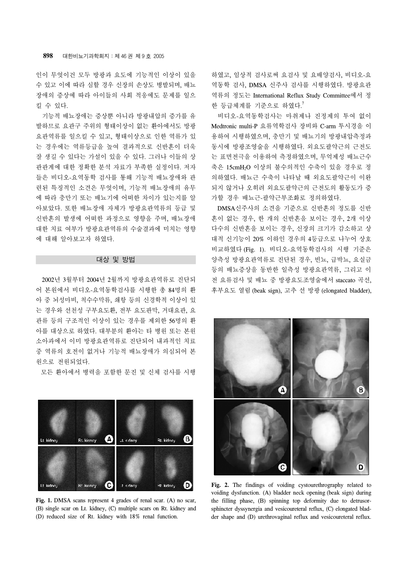인이 무엇이건 모두 방광과 요도에 기능적인 이상이 있을 수 있고 이에 따라 심할 경우 신장의 손상도 병발되며, 배뇨 장애의 증상에 따라 아이들의 사회 적응에도 문제를 일으 킬 수 있다.

 기능적 배뇨장애는 증상뿐 아니라 방광내압의 증가를 유 발하므로 요관구 주위의 형태이상이 없는 환아에서도 방광 요관역류를 일으킬 수 있고, 형태이상으로 인한 역류가 있 는 경우에는 역류등급을 높여 결과적으로 신반흔이 더욱 잘 생길 수 있다는 가설이 있을 수 있다. 그러나 이들의 상 관관계에 대한 정확한 분석 자료가 부족한 실정이다. 저자 들은 비디오-요역동학 검사를 통해 기능적 배뇨장애와 관 련된 특징적인 소견은 무엇이며, 기능적 배뇨장애의 유무 에 따라 충만기 또는 배뇨기에 어떠한 차이가 있는지를 알 아보았다. 또한 배뇨장애 자체가 방광요관역류의 등급 및 신반흔의 발생에 어떠한 과정으로 영향을 주며, 배뇨장애 대한 치료 여부가 방광요관역류의 수술결과에 미치는 영향 에 대해 알아보고자 하였다.

#### 대상 및 방법

 2002년 3월부터 2004년 2월까지 방광요관역류로 진단되 어 본원에서 비디오-요역동학검사를 시행한 총 84명의 환 아 중 뇌성마비, 척수수막류, 쇄항 등의 신경학적 이상이 있 는 경우와 선천성 구부요도환, 전부 요도판막, 거대요관, 요 관류 등의 구조적인 이상이 있는 경우를 제외한 56명의 환 아를 대상으로 하였다. 대부분의 환아는 타 병원 또는 본원 소아과에서 이미 방광요관역류로 진단되어 내과적인 치료 중 역류의 호전이 없거나 기능적 배뇨장애가 의심되어 본 원으로 전원되었다.

모든 환아에서 병력을 포함한 문진 및 신체 검사를 시행



**Fig. 1.** DMSA scans represent 4 grades of renal scar. (A) no scar, (B) single scar on Lt. kidney, (C) multiple scars on Rt. kidney and (D) reduced size of Rt. kidney with 18% renal function.

하였고, 임상적 검사로써 요검사 및 요배양검사, 비디오-요 역동학 검사, DMSA 신주사 검사를 시행하였다. 방광요관 역류의 정도는 International Reflux Study Committee에서 정 한 등급체계를 기준으로 하였다. 7

 비디오-요역동학검사는 마취제나 진정제의 투여 없이 Medtronic multi-P 요류역학검사 장비와 C-arm 투시경을 이 용하여 시행하였으며, 충만기 및 배뇨기의 방광내압측정과 동시에 방광조영술을 시행하였다. 외요도괄약근의 근전도 는 표면전극을 이용하여 측정하였으며, 무억제성 배뇨근수 축은 15cmH2O 이상의 불수의적인 수축이 있을 경우로 정 의하였다. 배뇨근 수축이 나타날 때 외요도괄약근이 이완 되지 않거나 오히려 외요도괄약근의 근전도의 활동도가 증 가할 경우 배뇨근-괄약근부조화로 정의하였다.

DMSA신주사의 소견을 기준으로 신반흔의 정도를 신반 흔이 없는 경우, 한 개의 신반흔을 보이는 경우, 2개 이상 다수의 신반흔을 보이는 경우, 신장의 크기가 감소하고 상 대적 신기능이 20% 이하인 경우의 4등급으로 나누어 상호 비교하였다 (Fig. 1). 비디오-요역동학검사의 시행 기준은 양측성 방광요관역류로 진단된 경우, 빈뇨, 급박뇨, 요실금 등의 배뇨증상을 동반한 일측성 방광요관역류, 그리고 이 전 요류검사 및 배뇨 중 방광요도조영술에서 staccato 곡선, 후부요도 열림 (beak sign), 고추 선 방광 (elongated bladder),



**Fig. 2.** The findings of voiding cystourethrography related to voiding dysfunction. (A) bladder neck opening (beak sign) during the filling phase, (B) spinning top deformity due to detrusorsphincter dyssynergia and vesicoureteral reflux, (C) elongated bladder shape and (D) urethrovaginal reflux and vesicoureteral reflux.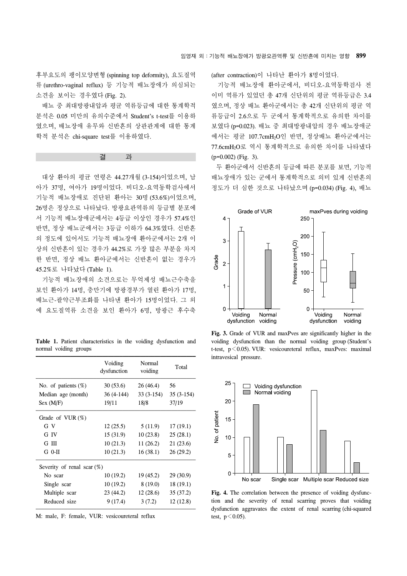후부요도의 팽이모양변형 (spinning top deformity), 요도질역 류 (urethro-vaginal reflux) 등 기능적 배뇨장애가 의심되는 소견을 보이는 경우였다 (Fig. 2).

 배뇨 중 최대방광내압과 평균 역류등급에 대한 통계학적 분석은 0.05 미만의 유의수준에서 Student's t-test를 이용하 였으며, 배뇨장애 유무와 신반흔의 상관관계에 대한 통계 학적 분석은 chi-square test를 이용하였다.

#### 결 과

 대상 환아의 평균 연령은 44.27개월 (3-154)이었으며, 남 아가 37명, 여아가 19명이었다. 비디오-요역동학검사에서 기능적 배뇨장애로 진단된 환아는 30명 (53.6%)이었으며, 26명은 정상으로 나타났다. 방광요관역류의 등급별 분포에 서 기능적 배뇨장애군에서는 4등급 이상인 경우가 57.4%인 반면, 정상 배뇨군에서는 3등급 이하가 64.3%였다. 신반흔 의 정도에 있어서도 기능적 배뇨장애 환아군에서는 2개 이 상의 신반흔이 있는 경우가 44.2%로 가장 많은 부분을 차지 한 반면, 정상 배뇨 환아군에서는 신반흔이 없는 경우가 45.2%로 나타났다 (Table 1).

 기능적 배뇨장애의 소견으로는 무억제성 배뇨근수축을 보인 환아가 14명, 충만기에 방광경부가 열린 환아가 17명, 배뇨근-괄약근부조화를 나타낸 환아가 15명이었다. 그 외 에 요도질역류 소견을 보인 환아가 6명, 방광근 후수축

**Table 1.** Patient characteristics in the voiding dysfunction and normal voiding groups

|                               | Voiding<br>dysfunction | Normal<br>voiding | Total       |
|-------------------------------|------------------------|-------------------|-------------|
| No. of patients $(\%)$        | 30(53.6)               | 26(46.4)          | 56          |
| Median age (month)            | $36(4-144)$            | $33(3-154)$       | $35(3-154)$ |
| Sex (M/F)                     | 19/11                  | 18/8              | 37/19       |
| Grade of VUR $(\%)$           |                        |                   |             |
| G V                           | 12(25.5)               | 5(11.9)           | 17(19.1)    |
| G IV                          | 15(31.9)               | 10(23.8)          | 25(28.1)    |
| G III                         | 10(21.3)               | 11(26.2)          | 21 (23.6)   |
| G 0-II                        | 10(21.3)               | 16(38.1)          | 26 (29.2)   |
| Severity of renal scar $(\%)$ |                        |                   |             |
| No scar                       | 10(19.2)               | 19 (45.2)         | 29 (30.9)   |
| Single scar                   | 10(19.2)               | 8(19.0)           | 18(19.1)    |
| Multiple scar                 | 23 (44.2)              | 12(28.6)          | 35 (37.2)   |
| Reduced size                  | 9(17.4)                | 3(7.2)            | 12(12.8)    |

M: male, F: female, VUR: vesicoureteral reflux

(after contraction)이 나타난 환아가 8명이었다.

 기능적 배뇨장애 환아군에서, 비디오-요역동학검사 전 이미 역류가 있었던 총 47개 신단위의 평균 역류등급은 3.4 였으며, 정상 배뇨 환아군에서는 총 42개 신단위의 평균 역 류등급이 2.6으로 두 군에서 통계학적으로 유의한 차이를 보였다 (p=0.023). 배뇨 중 최대방광내압의 경우 배뇨장애군 에서는 평균 107.7cmH2O인 반면, 정상배뇨 환아군에서는 77.6cmH2O로 역시 통계학적으로 유의한 차이를 나타냈다 (p=0.002) (Fig. 3).

 두 환아군에서 신반흔의 등급에 따른 분포를 보면, 기능적 배뇨장애가 있는 군에서 통계학적으로 의미 있게 신반흔의 정도가 더 심한 것으로 나타났으며 (p=0.034) (Fig. 4), 배뇨



**Fig. 3.** Grade of VUR and maxPves are significantly higher in the voiding dysfunction than the normal voiding group (Student's t-test,  $p \le 0.05$ ). VUR: vesicoureteral reflux, maxPves: maximal intravesical pressure.



**Fig. 4.** The correlation between the presence of voiding dysfunction and the severity of renal scarring proves that voiding dysfunction aggravates the extent of renal scarring (chi-squared test.  $p < 0.05$ ).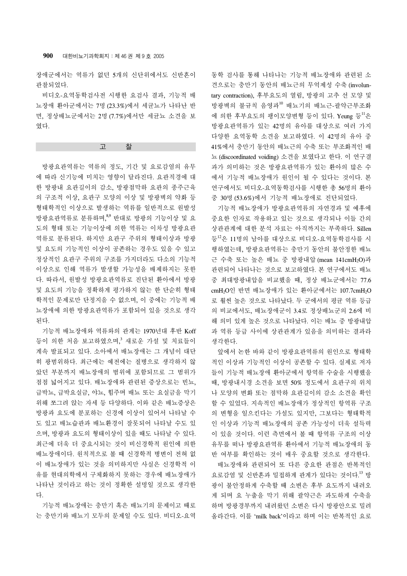장애군에서는 역류가 없던 5개의 신단위에서도 신반흔이 관찰되었다.

비디오-요역동학검사전 시행한 요검사 결과, 기능적 배 뇨장애 환아군에서는 7명 (23.3%)에서 세균뇨가 나타난 반 면, 정상배뇨군에서는 2명 (7.7%)에서만 세균뇨 소견을 보 였다.

 방광요관역류는 역류의 정도, 기간 및 요로감염의 유무 에 따라 신기능에 미치는 영향이 달라진다. 요관직경에 대 한 방광내 요관길이의 감소, 방광점막하 요관의 종주근육 의 구조적 이상, 요관구 모양의 이상 및 방광벽의 약화 등 형태학적인 이상으로 발생하는 역류를 일반적으로 원발성 방광요관역류로 분류하며,<sup>8,9</sup> 반대로 방광의 기능이상 및 요 도의 형태 또는 기능이상에 의한 역류는 이차성 방광요관 역류로 분류된다. 하지만 요관구 주위의 형태이상과 방광 및 요도의 기능적인 이상이 공존하는 경우도 있을 수 있고 정상적인 요관구 주위의 구조를 가지더라도 다소의 기능적 이상으로 인해 역류가 발생할 가능성을 배제하지는 못한 다. 따라서, 원발성 방광요관역류로 진단된 환아에서 방광 및 요도의 기능을 정확하게 평가하지 않는 한 단순히 형태 학적인 문제로만 단정지을 수 없으며, 이 중에는 기능적 배 뇨장애에 의한 방광요관역류가 포함되어 있을 것으로 생각 된다.

 기능적 배뇨장애와 역류와의 관계는 1970년대 후반 Koff 등이 의한 처음 보고하였으며, <sup>3</sup> 새로운 가설 및 치료들이 계속 발표되고 있다. 소아에서 배뇨장애는 그 개념이 대단 히 광범위하다. 최근에는 예전에는 질병으로 생각하지 않 았던 부분까지 배뇨장애의 범위에 포함되므로 그 범위가 점점 넓어지고 있다. 배뇨장애와 관련된 증상으로는 빈뇨, 급박뇨, 급박요실금, 야뇨, 힘주며 배뇨 또는 요실금을 막기 위해 쪼그려 앉는 자세 등 다양하다. 이와 같은 배뇨증상은 방광과 요도에 분포하는 신경에 이상이 있어서 나타날 수 도 있고 배뇨습관과 배뇨환경이 잘못되어 나타날 수도 있 으며, 방광과 요도의 형태이상이 있을 때도 나타날 수 있다. 최근에 더욱 더 중요시되는 것이 비신경학적 원인에 의한 배뇨장애이다. 원칙적으로 볼 때 신경학적 병변이 전혀 없 이 배뇨장애가 있는 것을 의미하지만 사실은 신경학적 이 유를 현대의학에서 구체화하지 못하는 경우에 배뇨장애가 나타난 것이라고 하는 것이 정확한 설명일 것으로 생각한 다.

 기능적 배뇨장애는 충만기 혹은 배뇨기의 문제이고 때로 는 충만기와 배뇨기 모두의 문제일 수도 있다. 비디오-요역 동학 검사를 통해 나타나는 기능적 배뇨장애와 관련된 소 견으로는 충만기 동안의 배뇨근의 무억제성 수축 (involuntary contraction), 후부요도의 열림, 방광의 고추 선 모양 및 방광벽의 불규칙 음영과<sup>10</sup> 배뇨기의 배뇨근-괄약근부조화 에 의한 후부요도의 팽이모양변형 등이 있다. Yeung 등 <sup>11</sup>은 방광요관역류가 있는 42명의 유아를 대상으로 여러 가지 다양한 요역동학 소견을 보고하였다. 이 42명의 유아 중 41%에서 충만기 동안의 배뇨근의 수축 또는 부조화적인 배 뇨 (discoordinated voiding) 소견을 보였다고 한다. 이 연구결 과가 의미하는 것은 방광요관역류가 있는 환아의 많은 수 에서 기능적 배뇨장애가 원인이 될 수 있다는 것이다. 본 연구에서도 비디오-요역동학검사를 시행한 총 56명의 환아 중 30명 (53.6%)에서 기능적 배뇨장애로 진단되었다.

 기능적 배뇨장애가 방광요관역류의 자연경과 및 예후에 중요한 인자로 작용하고 있는 것으로 생각되나 이들 간의 상관관계에 대한 분석 자료는 아직까지는 부족하다. Sillen 등<sup>12</sup>은 11명의 남아를 대상으로 비디오-요역동학검사를 시 행하였는데, 방광요관역류는 충만기 동안의 불안정한 배뇨 근 수축 또는 높은 배뇨 중 방광내압 (mean 141cmH<sub>2</sub>O)과 관련되어 나타나는 것으로 보고하였다. 본 연구에서도 배뇨 중 최대방광내압을 비교했을 때, 정상 배뇨군에서는 77.6 cmH<sub>2</sub>O인 반면 배뇨장애가 있는 환아군에서는 107.7cmH<sub>2</sub>O 로 훨씬 높은 것으로 나타났다. 두 군에서의 평균 역류 등급 의 비교에서도, 배뇨장애군이 3.4로 정상배뇨군의 2.6에 비 해 의미 있게 높은 것으로 나타났다. 이는 배뇨 중 방광내압 과 역류 등급 사이에 상관관계가 있음을 의미하는 결과라 생각한다.

 앞에서 논한 바와 같이 방광요관역류의 원인으로 형태학 적인 이상과 기능적인 이상이 공존할 수 있다. 실제로 저자 들이 기능적 배뇨장애 환아군에서 항역류 수술을 시행했을 때, 방광내시경 소견을 보면 50% 정도에서 요관구의 위치 나 모양의 변화 또는 점막하 요관길이의 감소 소견을 확인 할 수 있었다. 지속적인 배뇨장애가 정상적인 항역류 구조 의 변형을 일으킨다는 가설도 있지만, 그보다는 형태학적 인 이상과 기능적 배뇨장애의 공존 가능성이 더욱 설득력 이 있을 것이다. 이런 측면에서 볼 때 항역류 구조의 이상 유무를 떠나 방광요관역류 환아에서 기능적 배뇨장애의 동 반 여부를 확인하는 것이 매우 중요할 것으로 생각한다.

 배뇨장애와 관련되어 또 다른 중요한 관점은 반복적인 요로감염 및 신반흔과 밀접하게 관계가 있다는 것이다.<sup>13</sup> 방 광이 불안정하게 수축할 때 소변은 후부 요도까지 내려오 게 되며 요 누출을 막기 위해 괄약근은 과도하게 수축을 하며 방광경부까지 내려왔던 소변은 다시 방광안으로 밀려 올라간다. 이를 'milk back'이라고 하며 이는 반복적인 요로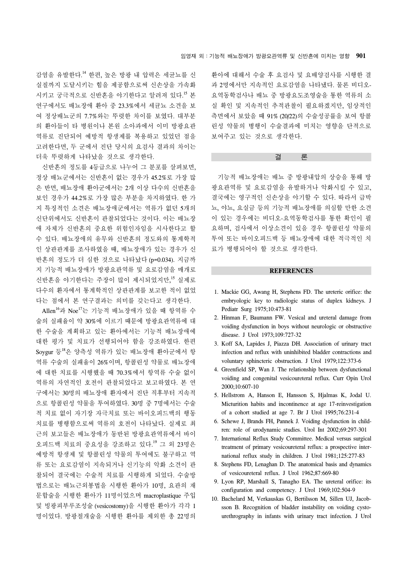감염을 유발한다. <sup>14</sup> 한편, 높은 방광 내 압력은 세균뇨를 신 실질까지 도달시키는 힘을 제공함으로써 신손상을 가속화 시키고 궁극적으로 신반흔을 야기한다고 알려져 있다. <sup>15</sup> 본 연구에서도 배뇨장애 환아 중 23.3%에서 세균뇨 소견을 보 여 정상배뇨군의 7.7%와는 뚜렷한 차이를 보였다. 대부분 의 환아들이 타 병원이나 본원 소아과에서 이미 방광요관 역류로 진단되어 예방적 항생제를 복용하고 있었던 점을 고려한다면, 두 군에서 진단 당시의 요검사 결과의 차이는 더욱 뚜렷하게 나타났을 것으로 생각한다.

 신반흔의 정도를 4등급으로 나누어 그 분포를 살펴보면, 정상 배뇨군에서는 신반흔이 없는 경우가 45.2%로 가장 많 은 반면, 배뇨장애 환아군에서는 2개 이상 다수의 신반흔을 보인 경우가 44.2%로 가장 많은 부분을 차지하였다. 한 가 지 특징적인 소견은 배뇨장애군에서는 역류가 없던 5개의 신단위에서도 신반흔이 관찰되었다는 것이다. 이는 배뇨장 애 자체가 신반흔의 중요한 위험인자임을 시사한다고 할 수 있다. 배뇨장애의 유무와 신반흔의 정도와의 통계학적 인 상관관계를 조사하였을 때, 배뇨장애가 있는 경우가 신 반흔의 정도가 더 심한 것으로 나타났다 (p=0.034). 지금까 지 기능적 배뇨장애가 방광요관역류 및 요로감염을 매개로 신반흔을 야기한다는 주장이 많이 제시되었지만, <sup>15</sup> 실제로 다수의 환자에서 통계학적인 상관관계를 보고한 적이 없었 다는 점에서 본 연구결과는 의미를 갖는다고 생각한다.

 Allen<sup>16</sup>과 Noe17는 기능적 배뇨장애가 있을 때 항역류 수 술의 실패율이 약 30%에 이르기 때문에 방광요관역류에 대 한 수술을 계획하고 있는 환아에서는 기능적 배뇨장애에 대한 평가 및 치료가 선행되어야 함을 강조하였다. 한편 Soygur 등<sup>18</sup>은 양측성 역류가 있는 배뇨장애 환아군에서 항 역류 수술의 실패율이 26%이며, 항콜린성 약물로 배뇨장애 에 대한 치료를 시행했을 때 70.3%에서 항역류 수술 없이 역류의 자연적인 호전이 관찰되었다고 보고하였다. 본 연 구에서는 30명의 배뇨장애 환자에서 진단 직후부터 지속적 으로 항콜린성 약물을 투여하였다. 30명 중 7명에서는 수술 적 치료 없이 자기장 자극치료 또는 바이오피드백의 행동 치료를 병행함으로써 역류의 호전이 나타났다. 실제로 최 근의 보고들은 배뇨장애가 동반된 방광요관역류에서 바이 오피드백 치료의 중요성을 강조하고 있다. <sup>19</sup> 그 외 23명은 예방적 항생제 및 항콜린성 약물의 투여에도 불구하고 역 류 또는 요로감염이 지속되거나 신기능의 악화 소견이 관 찰되어 결국에는 수술적 치료를 시행하게 되었다. 수술방 법으로는 배뇨근외봉법을 시행한 환아가 10명, 요관의 재 문합술을 시행한 환아가 11명이었으며 macroplastique 주입 및 빙광피부루조성술 (vesicostomy)을 시행한 환아가 각각 1 명이었다. 방광절개술을 시행한 환아를 제외한 총 22명의

환아에 대해서 수술 후 요검사 및 요배양검사를 시행한 결 과 2명에서만 지속적인 요로감염을 나타냈다. 물론 비디오-요역동학검사나 배뇨 중 방광요도조영술을 통한 역류의 소 실 확인 및 지속적인 추적관찰이 필요하겠지만, 임상적인 측면에서 보았을 때 91% (20/22)의 수술성공률을 보여 항콜 린성 약물의 병행이 수술결과에 미치는 영향을 단적으로 보여주고 있는 것으로 생각한다.

#### 결 론

 기능적 배뇨장애는 배뇨 중 방광내압의 상승을 통해 방 광요관역류 및 요로감염을 유발하거나 악화시킬 수 있고, 결국에는 영구적인 신손상을 야기할 수 있다. 따라서 급박 뇨, 야뇨, 요실금 등의 기능적 배뇨장애를 의심할 만한 소견 이 있는 경우에는 비디오-요역동학검사를 통한 확인이 필 요하며, 검사에서 이상소견이 있을 경우 항콜린성 약물의 투여 또는 바이오피드백 등 배뇨장애에 대한 적극적인 치 료가 병행되어야 할 것으로 생각한다.

#### **REFERENCES**

- 1. Mackie GG, Awang H, Stephens FD. The ureteric orifice: the embryologic key to radiologic status of duplex kidneys. J Pediatr Surg 1975;10:473-81
- 2. Hinman F, Baumann FW. Vesical and ureteral damage from voiding dysfunction in boys without neurologic or obstructive disease. J Urol 1973;109:727-32
- 3. Koff SA, Lapides J, Piazza DH. Association of urinary tract infection and reflux with uninhibited bladder contractions and voluntary sphincteric obstruction. J Urol 1979;122:373-6
- 4. Greenfield SP, Wan J. The relationship between dysfunctional voiding and congenital vesicoureteral reflux. Curr Opin Urol 2000;10:607-10
- 5. Hellstrom A, Hanson E, Hansson S, Hjalmas K, Jodal U. Micturition habits and incontinence at age 17-reinvestigation of a cohort studied at age 7. Br J Urol 1995;76:231-4
- 6. Schewe J, Brands FH, Pannek J. Voiding dysfunction in children: role of urodynamic studies. Urol Int 2002;69:297-301
- 7. International Reflux Study Committee. Medical versus surgical treatment of primary vesicoureteral reflux: a prospective international reflux study in children. J Urol 1981;125:277-83
- 8. Stephens FD, Lenaghan D. The anatomical basis and dynamics of vesicoureteral reflux. J Urol 1962;87:669-80
- 9. Lyon RP, Marshall S, Tanagho EA. The ureteral orifice: its configuration and competency. J Urol 1969;102:504-9
- 10. Bachelard M, Verkauskas G, Bertilsson M, Sillen UJ, Jacobsson B. Recognition of bladder instability on voiding cystourethrography in infants with urinary tract infection. J Urol